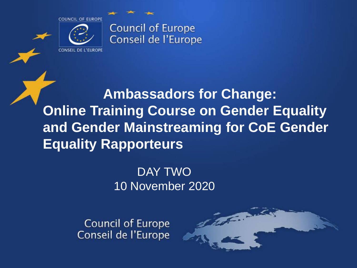

**CONSEIL DE L'EUROPE** 

**Council of Europe** Conseil de l'Europe

**Ambassadors for Change: Online Training Course on Gender Equality and Gender Mainstreaming for CoE Gender Equality Rapporteurs** 

### DAY TWO 10 November 2020

**Council of Europe** Conseil de l'Europe

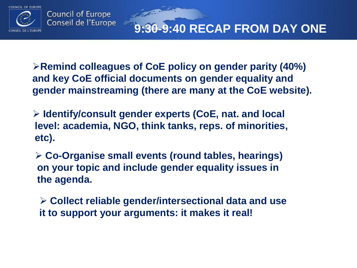

**9:30-9:40 RECAP FROM DAY ONE**

**Example 2 Remind colleagues of CoE policy on gender parity (40%) and key CoE official documents on gender equality and gender mainstreaming (there are many at the CoE website).**

 **Identify/consult gender experts (CoE, nat. and local level: academia, NGO, think tanks, reps. of minorities, etc).**

**Change Company** 

 **Co-Organise small events (round tables, hearings) on your topic and include gender equality issues in the agenda.**

 **Collect reliable gender/intersectional data and use it to support your arguments: it makes it real!**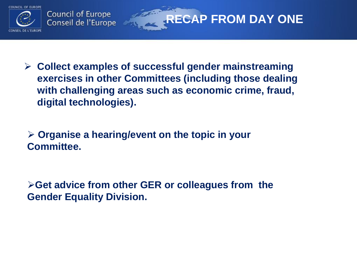

 **Collect examples of successful gender mainstreaming exercises in other Committees (including those dealing with challenging areas such as economic crime, fraud, digital technologies).** 

**RECAP FROM DAY ONE** 

 **Organise a hearing/event on the topic in your Committee.**

**Get advice from other GER or colleagues from the Gender Equality Division.**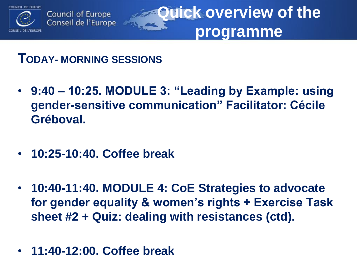

**Quick overview of the programme**

**TODAY- MORNING SESSIONS** 

- **9:40 – 10:25. MODULE 3: "Leading by Example: using gender-sensitive communication" Facilitator: Cécile Gréboval.**
- **10:25-10:40. Coffee break**
- **10:40-11:40. MODULE 4: CoE Strategies to advocate for gender equality & women's rights + Exercise Task sheet #2 + Quiz: dealing with resistances (ctd).**
- **11:40-12:00. Coffee break**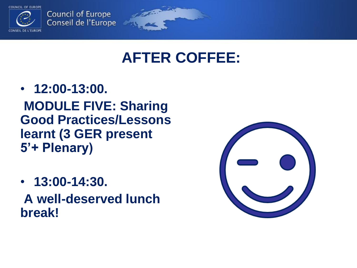

**Council of Europe** Conseil de l'Europe

### **AFTER COFFEE:**

- **12:00-13:00. MODULE FIVE: Sharing Good Practices/Lessons learnt (3 GER present 5'+ Plenary)**
- **13:00-14:30.**

**A well-deserved lunch break!**

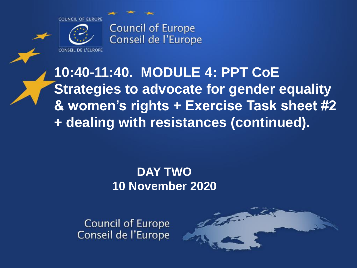

CONSEIL DE L'EUROPE

**Council of Europe** Conseil de l'Europe

**10:40-11:40. MODULE 4: PPT CoE Strategies to advocate for gender equality & women's rights + Exercise Task sheet #2 + dealing with resistances (continued).**

### **DAY TWO 10 November 2020**

**Council of Europe** Conseil de l'Europe

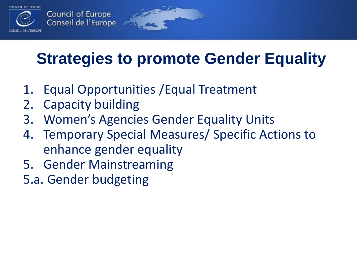

## **Strategies to promote Gender Equality**

- 1. Equal Opportunities /Equal Treatment
- 2. Capacity building
- 3. Women's Agencies Gender Equality Units
- 4. Temporary Special Measures/ Specific Actions to enhance gender equality
- 5. Gender Mainstreaming
- 5.a. Gender budgeting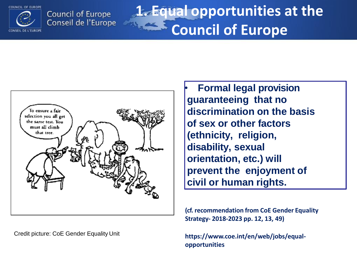

**Council of Europe** Conseil de l'Europe

## **1. Equal opportunities at the Council of Europe**



Credit picture: CoE Gender Equality Unit

• **Formal legal provision guaranteeing that no discrimination on the basis of sex or other factors (ethnicity, religion, disability, sexual orientation, etc.) will prevent the enjoyment of civil or human rights.**

**(cf. recommendation from CoE Gender Equality Strategy- 2018-2023 pp. 12, 13, 49)**

**https://www.coe.int/en/web/jobs/equalopportunities**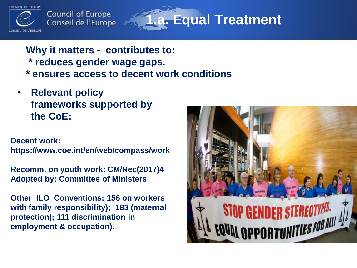

**Council of Europe** Conseil de l'Europe

**1.a. Equal Treatment**

**Why it matters - contributes to:** 

**\* reduces gender wage gaps.**

- **\* ensures access to decent work conditions**
- **Relevant policy frameworks supported by the CoE:**

**Decent work:** 

**https://www.coe.int/en/web/compass/work**

**Recomm. on youth work: CM/Rec(2017)4 Adopted by: Committee of Ministers** 

**Other ILO Conventions: 156 on workers with family responsibility); 183 (maternal protection); 111 discrimination in employment & occupation).**

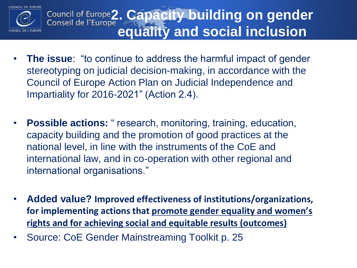

## Council of Europe<sup>2</sup>. Capacity building on gender **equality and social inclusion**

- **The issue**: "to continue to address the harmful impact of gender stereotyping on judicial decision-making, in accordance with the Council of Europe Action Plan on Judicial Independence and Impartiality for 2016-2021" (Action 2.4).
- **Possible actions:** " research, monitoring, training, education, capacity building and the promotion of good practices at the national level, in line with the instruments of the CoE and international law, and in co-operation with other regional and international organisations."
- **Added value? Improved effectiveness of institutions/organizations, for implementing actions that promote gender equality and women's rights and for achieving social and equitable results (outcomes)**
- Source: CoE Gender Mainstreaming Toolkit p. 25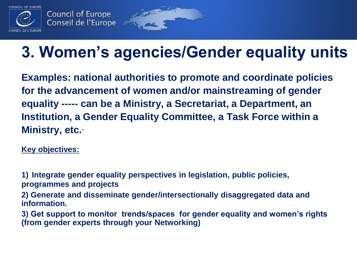

## **3. Women's agencies/Gender equality units**

**Examples: national authorities to promote and coordinate policies for the advancement of women and/or mainstreaming of gender equality ----- can be a Ministry, a Secretariat, a Department, an Institution, a Gender Equality Committee, a Task Force within a Ministry, etc..** 

**Key objectives:**

**1) Integrate gender equality perspectives in legislation, public policies, programmes and projects**

id and

**2) Generate and disseminate gender/intersectionally disaggregated data and information.**

**3) Get support to monitor trends/spaces for gender equality and women's rights (from gender experts through your Networking)**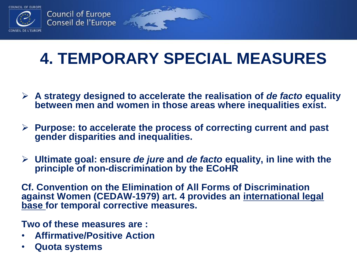

## **4. TEMPORARY SPECIAL MEASURES**

information

- **A strategy designed to accelerate the realisation of** *de facto* **equality between men and women in those areas where inequalities exist.**
- **Purpose: to accelerate the process of correcting current and past gender disparities and inequalities.**
- **Ultimate goal: ensure** *de jure* **and** *de facto* **equality, in line with the principle of non-discrimination by the ECoHR**

**Cf. Convention on the Elimination of All Forms of Discrimination against Women (CEDAW-1979) art. 4 provides an international legal base for temporal corrective measures.** 

**Two of these measures are :**

- **Affirmative/Positive Action**
- **Quota systems**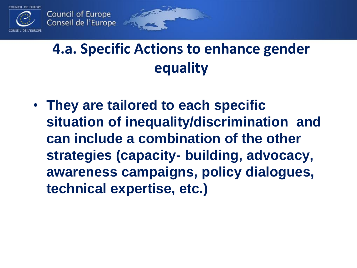

## **4.a. Specific Actions to enhance gender equality**

• **They are tailored to each specific situation of inequality/discrimination and can include a combination of the other strategies (capacity- building, advocacy, awareness campaigns, policy dialogues, technical expertise, etc.)**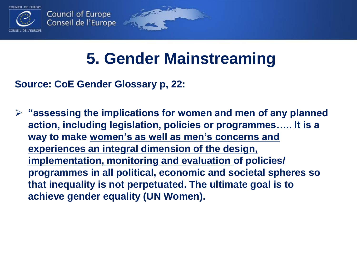

## **5. Gender Mainstreaming**

i dhe shekara

**Source: CoE Gender Glossary p, 22:**

 **"assessing the implications for women and men of any planned action, including legislation, policies or programmes….. It is a way to make women's as well as men's concerns and experiences an integral dimension of the design, implementation, monitoring and evaluation of policies/ programmes in all political, economic and societal spheres so that inequality is not perpetuated. The ultimate goal is to achieve gender equality (UN Women).**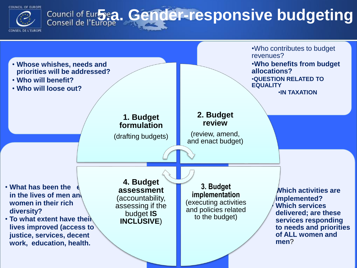

# Council of Europe**a. Gender-responsive budgeting**

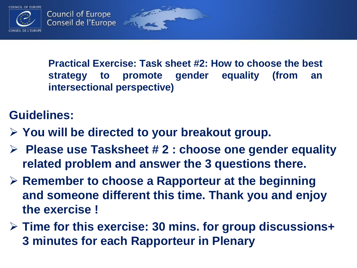

**Practical Exercise: Task sheet #2: How to choose the best strategy to promote gender equality (from an intersectional perspective)**

### **Guidelines:**

- **You will be directed to your breakout group.**
- **Please use Tasksheet # 2 : choose one gender equality related problem and answer the 3 questions there.**
- **Remember to choose a Rapporteur at the beginning and someone different this time. Thank you and enjoy the exercise !**
- **Time for this exercise: 30 mins. for group discussions+ 3 minutes for each Rapporteur in Plenary**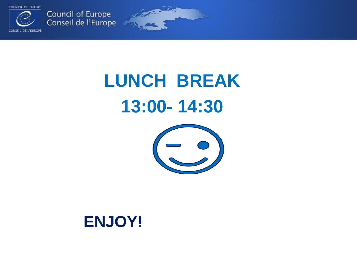

Council of Europe<br>Conseil de l'Europe

# **LUNCH BREAK 13:00- 14:30**



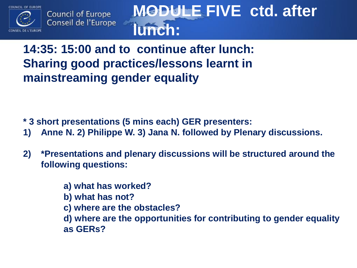



## **MODULE FIVE ctd. after lunch:**

### **14:35: 15:00 and to continue after lunch: Sharing good practices/lessons learnt in mainstreaming gender equality**

- **<sup>\*</sup> 3 short presentations (5 mins each) GER presenters:<br>1) Anne N. 2) Philippe W. 3) Jana N. followed by Plen**
- **1) Anne N. 2) Philippe W. 3) Jana N. followed by Plenary discussions.**
- **2) \*Presentations and plenary discussions will be structured around the following questions:** 
	- **a) what has worked?**
	- **b) what has not?**
	- **c) where are the obstacles?**
	- **d) where are the opportunities for contributing to gender equality as GERs?**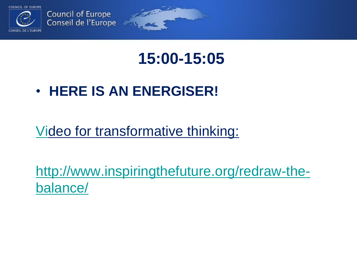

## **15:00-15:05**

• **HERE IS AN ENERGISER!**

[Vi](http://www.inspiringthefuture.org/redraw-the-balance/)deo for transformative thinking:

[http://www.inspiringthefuture.org/redraw-the](http://www.inspiringthefuture.org/redraw-the-balance/)balance/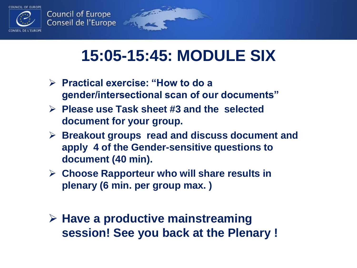

## **15:05-15:45: MODULE SIX**

- **Practical exercise: "How to do a gender/intersectional scan of our documents"**
- **Please use Task sheet #3 and the selected document for your group.**
- **Breakout groups read and discuss document and apply 4 of the Gender-sensitive questions to document (40 min).**
- **Choose Rapporteur who will share results in plenary (6 min. per group max. )**
- **Have a productive mainstreaming session! See you back at the Plenary !**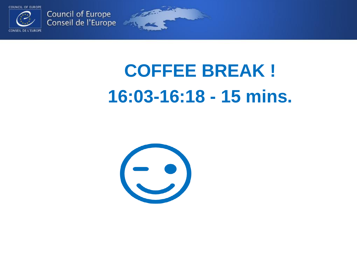

Council of Europe<br>Conseil de l'Europe

# **COFFEE BREAK ! 16:03-16:18 - 15 mins.**

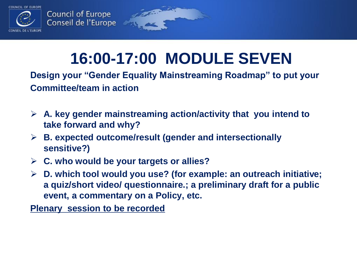

## **16:00-17:00 MODULE SEVEN**

**Design your "Gender Equality Mainstreaming Roadmap" to put your Committee/team in action** 

- **A. key gender mainstreaming action/activity that you intend to take forward and why?**
- **B. expected outcome/result (gender and intersectionally sensitive?)**

S. Of Congress

- **C. who would be your targets or allies?**
- **D. which tool would you use? (for example: an outreach initiative; a quiz/short video/ questionnaire.; a preliminary draft for a public event, a commentary on a Policy, etc.**

**Plenary session to be recorded**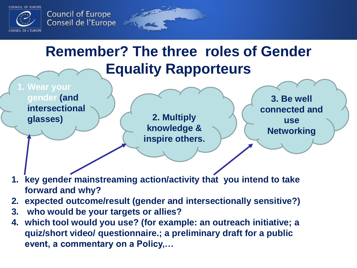



## **Remember? The three roles of Gender Equality Rapporteurs**



**knowledge & inspire others.** 

**3. Be well connected and use Networking**

- **1. key gender mainstreaming action/activity that you intend to take forward and why?**
- **2. expected outcome/result (gender and intersectionally sensitive?)**
- **3. who would be your targets or allies?**
- **4. which tool would you use? (for example: an outreach initiative; a quiz/short video/ questionnaire.; a preliminary draft for a public event, a commentary on a Policy,…**